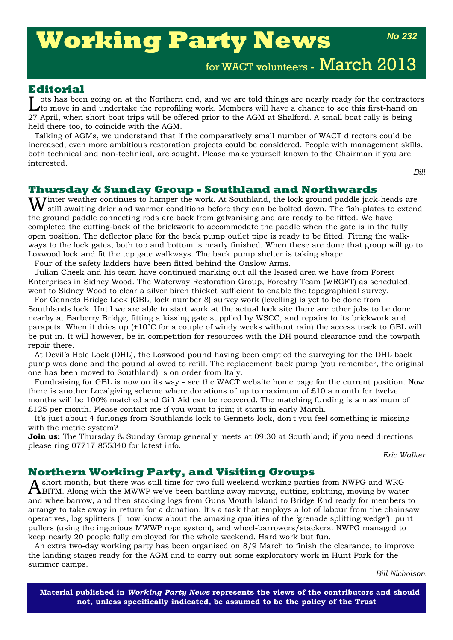# **Working Party News**

*No 232*

for WACT volunteers - March 2013

## **Editorial**

ots has been going on at the Northern end, and we are told things are nearly ready for the contractors to move in and undertake the reprofiling work. Members will have a chance to see this first-hand on 27 April, when short boat trips will be offered prior to the AGM at Shalford. A small boat rally is being held there too, to coincide with the AGM.

Talking of AGMs, we understand that if the comparatively small number of WACT directors could be increased, even more ambitious restoration projects could be considered. People with management skills, both technical and non-technical, are sought. Please make yourself known to the Chairman if you are interested.

*Bill*

#### **Thursday & Sunday Group - Southland and Northwards**

Winter weather continues to hamper the work. At Southland, the lock ground paddle jack-heads are still awaiting drier and wermon conditions. still awaiting drier and warmer conditions before they can be bolted down. The fish-plates to extend the ground paddle connecting rods are back from galvanising and are ready to be fitted. We have completed the cutting-back of the brickwork to accommodate the paddle when the gate is in the fully open position. The deflector plate for the back pump outlet pipe is ready to be fitted. Fitting the walkways to the lock gates, both top and bottom is nearly finished. When these are done that group will go to Loxwood lock and fit the top gate walkways. The back pump shelter is taking shape.

Four of the safety ladders have been fitted behind the Onslow Arms.

Julian Cheek and his team have continued marking out all the leased area we have from Forest Enterprises in Sidney Wood. The Waterway Restoration Group, Forestry Team (WRGFT) as scheduled, went to Sidney Wood to clear a silver birch thicket sufficient to enable the topographical survey.

For Gennets Bridge Lock (GBL, lock number 8) survey work (levelling) is yet to be done from Southlands lock. Until we are able to start work at the actual lock site there are other jobs to be done nearby at Barberry Bridge, fitting a kissing gate supplied by WSCC, and repairs to its brickwork and parapets. When it dries up (+10°C for a couple of windy weeks without rain) the access track to GBL will be put in. It will however, be in competition for resources with the DH pound clearance and the towpath repair there.

At Devil's Hole Lock (DHL), the Loxwood pound having been emptied the surveying for the DHL back pump was done and the pound allowed to refill. The replacement back pump (you remember, the original one has been moved to Southland) is on order from Italy.

Fundraising for GBL is now on its way - see the WACT website home page for the current position. Now there is another Localgiving scheme where donations of up to maximum of  $£10$  a month for twelve months will be 100% matched and Gift Aid can be recovered. The matching funding is a maximum of £125 per month. Please contact me if you want to join; it starts in early March.

It's just about 4 furlongs from Southlands lock to Gennets lock, don't you feel something is missing with the metric system?

**Join us:** The Thursday & Sunday Group generally meets at 09:30 at Southland; if you need directions please ring 07717 855340 for latest info.

*Eric Walker*

#### **Northern Working Party, and Visiting Groups**

Ashort month, but there was still time for two full weekend working parties from NWPG and WRG BITM. Along with the MWWP we've been battling away moving, cutting, splitting, moving by water and wheelbarrow, and then stacking logs from Guns Mouth Island to Bridge End ready for members to arrange to take away in return for a donation. It's a task that employs a lot of labour from the chainsaw operatives, log splitters (I now know about the amazing qualities of the 'grenade splitting wedge'), punt pullers (using the ingenious MWWP rope system), and wheel-barrowers/stackers. NWPG managed to keep nearly 20 people fully employed for the whole weekend. Hard work but fun.

An extra two-day working party has been organised on 8/9 March to finish the clearance, to improve the landing stages ready for the AGM and to carry out some exploratory work in Hunt Park for the summer camps.

*Bill Nicholson*

**Material published in** *Working Party News* **represents the views of the contributors and should not, unless specifically indicated, be assumed to be the policy of the Trust**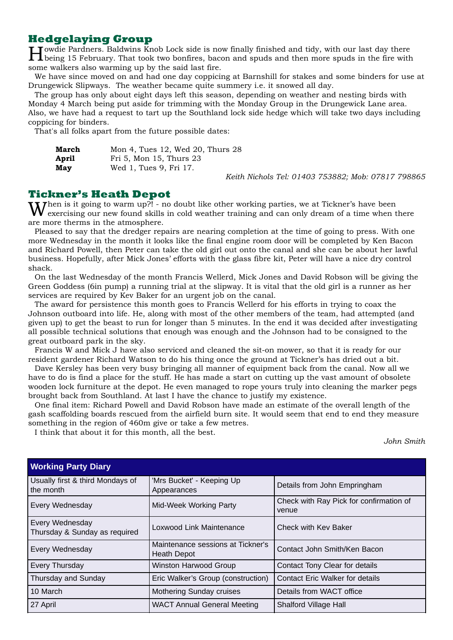# **Hedgelaying Group**

Towdie Pardners. Baldwins  $\bar{k}$ nob Lock side is now finally finished and tidy, with our last day there being 15 February. That took two bonfires, bacon and spuds and then more spuds in the fire with some walkers also warming up by the said last fire.

We have since moved on and had one day coppicing at Barnshill for stakes and some binders for use at Drungewick Slipways. The weather became quite summery i.e. it snowed all day.

The group has only about eight days left this season, depending on weather and nesting birds with Monday 4 March being put aside for trimming with the Monday Group in the Drungewick Lane area. Also, we have had a request to tart up the Southland lock side hedge which will take two days including coppicing for binders.

That's all folks apart from the future possible dates:

| March | Mon 4, Tues 12, Wed 20, Thurs 28 |
|-------|----------------------------------|
| April | Fri 5, Mon 15, Thurs 23          |
| May   | Wed 1, Tues 9, Fri 17.           |

*Keith Nichols Tel: 01403 753882; Mob: 07817 798865*

## **Tickner's Heath Depot**

**Then is it going to warm up?!** - no doubt like other working parties, we at Tickner's have been exercising our new found skills in cold weather training and can only dream of a time when there are more therms in the atmosphere.

Pleased to say that the dredger repairs are nearing completion at the time of going to press. With one more Wednesday in the month it looks like the final engine room door will be completed by Ken Bacon and Richard Powell, then Peter can take the old girl out onto the canal and she can be about her lawful business. Hopefully, after Mick Jones' efforts with the glass fibre kit, Peter will have a nice dry control shack.

On the last Wednesday of the month Francis Wellerd, Mick Jones and David Robson will be giving the Green Goddess (6in pump) a running trial at the slipway. It is vital that the old girl is a runner as her services are required by Kev Baker for an urgent job on the canal.

The award for persistence this month goes to Francis Wellerd for his efforts in trying to coax the Johnson outboard into life. He, along with most of the other members of the team, had attempted (and given up) to get the beast to run for longer than 5 minutes. In the end it was decided after investigating all possible technical solutions that enough was enough and the Johnson had to be consigned to the great outboard park in the sky.

Francis W and Mick J have also serviced and cleaned the sit-on mower, so that it is ready for our resident gardener Richard Watson to do his thing once the ground at Tickner's has dried out a bit.

Dave Kersley has been very busy bringing all manner of equipment back from the canal. Now all we have to do is find a place for the stuff. He has made a start on cutting up the vast amount of obsolete wooden lock furniture at the depot. He even managed to rope yours truly into cleaning the marker pegs brought back from Southland. At last I have the chance to justify my existence.

One final item: Richard Powell and David Robson have made an estimate of the overall length of the gash scaffolding boards rescued from the airfield burn site. It would seem that end to end they measure something in the region of 460m give or take a few metres.

I think that about it for this month, all the best.

*John Smith*

| <b>Working Party Diary</b>                       |                                                         |                                                  |  |  |  |
|--------------------------------------------------|---------------------------------------------------------|--------------------------------------------------|--|--|--|
| Usually first & third Mondays of<br>the month    | 'Mrs Bucket' - Keeping Up<br>Appearances                | Details from John Empringham                     |  |  |  |
| Every Wednesday                                  | Mid-Week Working Party                                  | Check with Ray Pick for confirmation of<br>venue |  |  |  |
| Every Wednesday<br>Thursday & Sunday as required | Loxwood Link Maintenance                                | Check with Key Baker                             |  |  |  |
| Every Wednesday                                  | Maintenance sessions at Tickner's<br><b>Heath Depot</b> | Contact John Smith/Ken Bacon                     |  |  |  |
| Every Thursday                                   | <b>Winston Harwood Group</b>                            | Contact Tony Clear for details                   |  |  |  |
| Thursday and Sunday                              | Eric Walker's Group (construction)                      | <b>Contact Eric Walker for details</b>           |  |  |  |
| 10 March                                         | <b>Mothering Sunday cruises</b>                         | Details from WACT office                         |  |  |  |
| 27 April                                         | <b>WACT Annual General Meeting</b>                      | <b>Shalford Village Hall</b>                     |  |  |  |